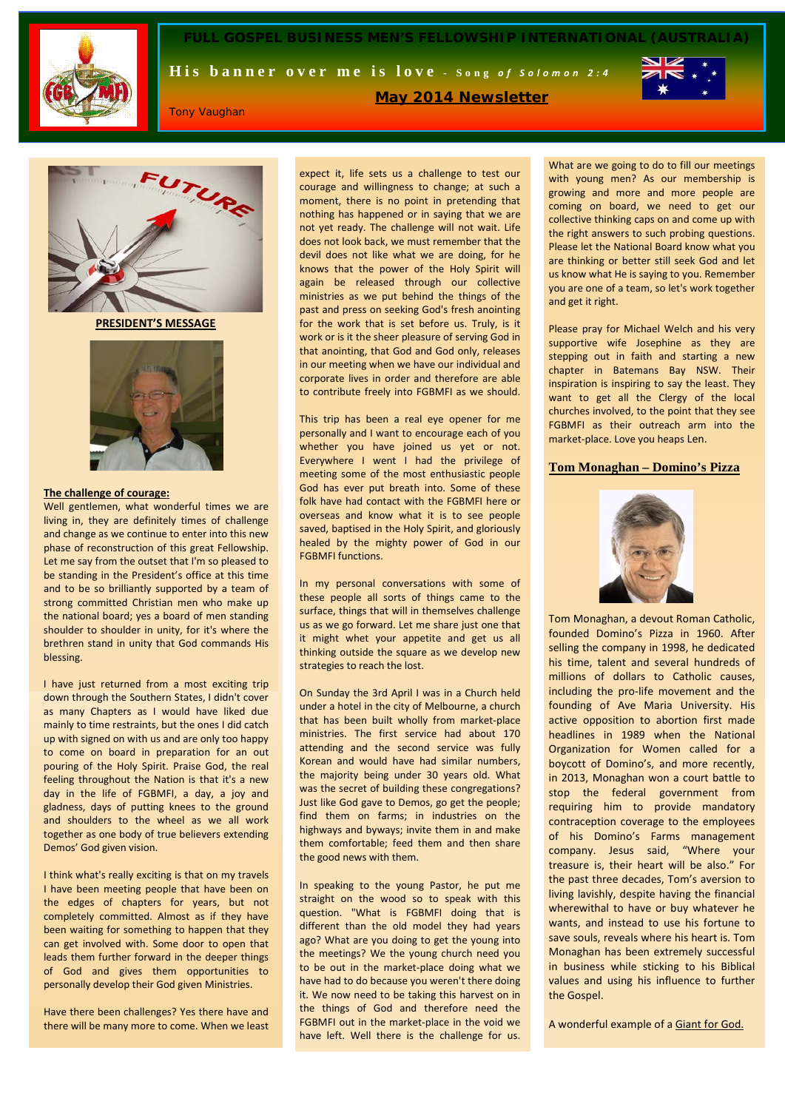

**FULL GOSPEL BUSINESS MEN'S FELLOWSHIP INTERNATIONAL (AUSTRALIA)**

**May 2014 Newsletter**

His banner over me is love - Song of Solomon 2:4



Tony Vaughan

UTURE

**PRESIDENT'S MESSAGE**



#### **The challenge of courage:**

Well gentlemen, what wonderful times we are living in, they are definitely times of challenge and change as we continue to enter into this new phase of reconstruction of this great Fellowship. Let me say from the outset that I'm so pleased to be standing in the President's office at this time and to be so brilliantly supported by a team of strong committed Christian men who make up the national board; yes a board of men standing shoulder to shoulder in unity, for it's where the brethren stand in unity that God commands His blessing.

I have just returned from a most exciting trip down through the Southern States, I didn't cover as many Chapters as I would have liked due mainly to time restraints, but the ones I did catch up with signed on with us and are only too happy to come on board in preparation for an out pouring of the Holy Spirit. Praise God, the real feeling throughout the Nation is that it's a new day in the life of FGBMFI, a day, a joy and gladness, days of putting knees to the ground and shoulders to the wheel as we all work together as one body of true believers extending Demos' God given vision.

I think what's really exciting is that on my travels I have been meeting people that have been on the edges of chapters for years, but not completely committed. Almost as if they have been waiting for something to happen that they can get involved with. Some door to open that leads them further forward in the deeper things of God and gives them opportunities to personally develop their God given Ministries.

Have there been challenges? Yes there have and there will be many more to come. When we least

expect it, life sets us a challenge to test our courage and willingness to change; at such a moment, there is no point in pretending that nothing has happened or in saying that we are not yet ready. The challenge will not wait. Life does not look back, we must remember that the devil does not like what we are doing, for he knows that the power of the Holy Spirit will again be released through our collective ministries as we put behind the things of the past and press on seeking God's fresh anointing for the work that is set before us. Truly, is it work or is it the sheer pleasure of serving God in that anointing, that God and God only, releases in our meeting when we have our individual and corporate lives in order and therefore are able to contribute freely into FGBMFI as we should.

This trip has been a real eye opener for me personally and I want to encourage each of you whether you have joined us yet or not. Everywhere I went I had the privilege of meeting some of the most enthusiastic people God has ever put breath into. Some of these folk have had contact with the FGBMFI here or overseas and know what it is to see people saved, baptised in the Holy Spirit, and gloriously healed by the mighty power of God in our FGBMFI functions.

In my personal conversations with some of these people all sorts of things came to the surface, things that will in themselves challenge us as we go forward. Let me share just one that it might whet your appetite and get us all thinking outside the square as we develop new strategies to reach the lost.

On Sunday the 3rd April I was in a Church held under a hotel in the city of Melbourne, a church that has been built wholly from market-place ministries. The first service had about 170 attending and the second service was fully Korean and would have had similar numbers, the majority being under 30 years old. What was the secret of building these congregations? Just like God gave to Demos, go get the people; find them on farms; in industries on the highways and byways; invite them in and make them comfortable; feed them and then share the good news with them.

In speaking to the young Pastor, he put me straight on the wood so to speak with this question. "What is FGBMFI doing that is different than the old model they had years ago? What are you doing to get the young into the meetings? We the young church need you to be out in the market-place doing what we have had to do because you weren't there doing it. We now need to be taking this harvest on in the things of God and therefore need the FGBMFI out in the market-place in the void we have left. Well there is the challenge for us.

What are we going to do to fill our meetings with young men? As our membership is growing and more and more people are coming on board, we need to get our collective thinking caps on and come up with the right answers to such probing questions. Please let the National Board know what you are thinking or better still seek God and let us know what He is saying to you. Remember you are one of a team, so let's work together and get it right.

Please pray for Michael Welch and his very supportive wife Josephine as they are stepping out in faith and starting a new chapter in Batemans Bay NSW. Their inspiration is inspiring to say the least. They want to get all the Clergy of the local churches involved, to the point that they see FGBMFI as their outreach arm into the market-place. Love you heaps Len.

## **Tom Monaghan – Domino's Pizza**



[Tom Monaghan,](http://en.wikipedia.org/wiki/Tom_Monaghan) a devout Roman Catholic, founded [Domino's Pizza](http://www.dominospizza.com/) in 1960. After selling the company in 1998, he dedicated his time, talent and several hundreds of millions of dollars to Catholic causes, including the pro-life movement and the founding of [Ave Maria University.](http://en.wikipedia.org/wiki/Ave_Maria_University) His active opposition to abortion first made headlines in 1989 when the National Organization for Women called for a boycott of Domino's, and more recently, in 2013, Monaghan won a court battle to stop the federal government from requiring him to provide mandatory contraception coverage to the employees of his Domino's Farms management company. Jesus said, "Where your treasure is, their heart will be also." For the past three decades, Tom's aversion to living lavishly, despite having the financial wherewithal to have or buy whatever he wants, and instead to use his fortune to save souls, reveals where his heart is. Tom Monaghan has been extremely successful in business while sticking to his Biblical values and using his influence to further the Gospel.

A wonderful example of a Giant for God.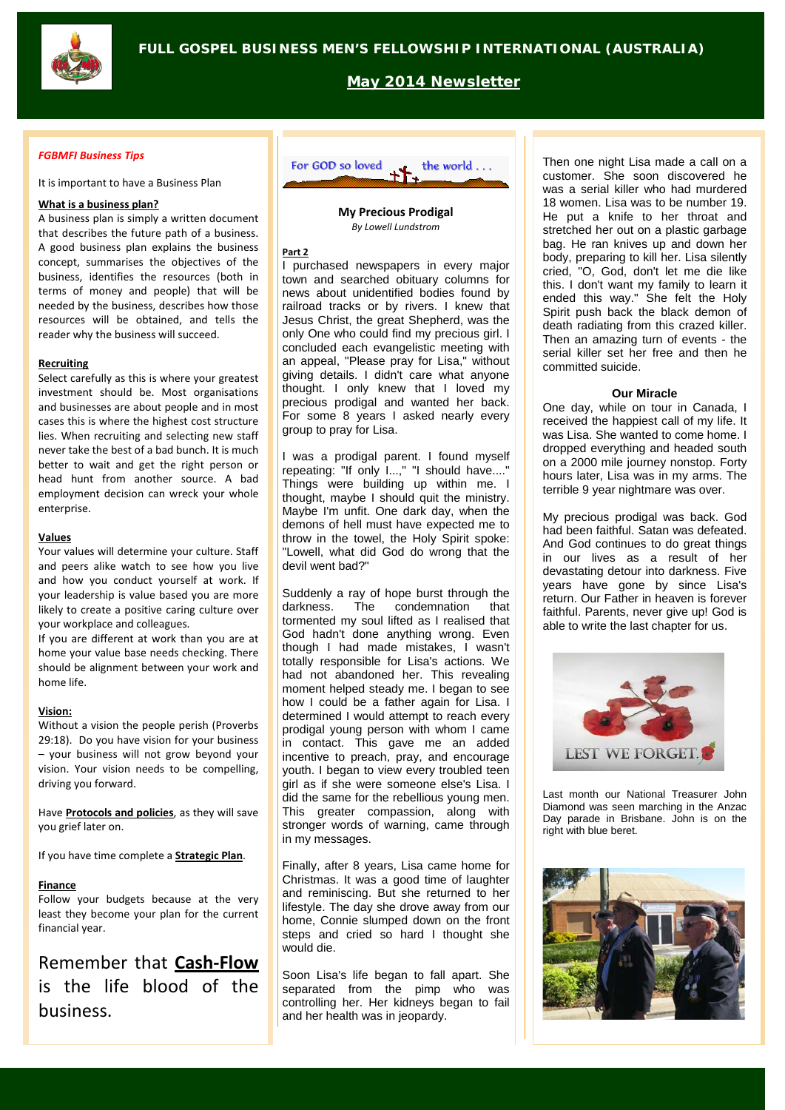

**May 2014 Newsletter**

### *FGBMFI Business Tips*

It is important to have a Business Plan

# **What is a business plan?**

A business plan is simply a written document that describes the future path of a business. A good business plan explains the business concept, summarises the objectives of the business, identifies the resources (both in terms of money and people) that will be needed by the business, describes how those resources will be obtained, and tells the reader why the business will succeed.

#### **Recruiting**

Select carefully as this is where your greatest investment should be. Most organisations and businesses are about people and in most cases this is where the highest cost structure lies. When recruiting and selecting new staff never take the best of a bad bunch. It is much better to wait and get the right person or head hunt from another source. A bad employment decision can wreck your whole enterprise.

## **Values**

Your values will determine your culture. Staff and peers alike watch to see how you live and how you conduct yourself at work. If your leadership is value based you are more likely to create a positive caring culture over your workplace and colleagues.

If you are different at work than you are at home your value base needs checking. There should be alignment between your work and home life.

#### **Vision:**

Without a vision the people perish (Proverbs 29:18). Do you have vision for your business – your business will not grow beyond your vision. Your vision needs to be compelling, driving you forward.

Have **Protocols and policies**, as they will save you grief later on.

If you have time complete a **Strategic Plan**.

## **Finance**

Follow your budgets because at the very least they become your plan for the current financial year.

# Remember that **Cash-Flow** is the life blood of the business.



**My Precious Prodigal** *By Lowell Lundstrom*

## **Part 2**

I purchased newspapers in every major town and searched obituary columns for news about unidentified bodies found by railroad tracks or by rivers. I knew that Jesus Christ, the great Shepherd, was the only One who could find my precious girl. I concluded each evangelistic meeting with an appeal, "Please pray for Lisa," without giving details. I didn't care what anyone thought. I only knew that I loved my precious prodigal and wanted her back. For some 8 years I asked nearly every group to pray for Lisa.

I was a prodigal parent. I found myself repeating: "If only I...," "I should have...." Things were building up within me. I thought, maybe I should quit the ministry. Maybe I'm unfit. One dark day, when the demons of hell must have expected me to throw in the towel, the Holy Spirit spoke: "Lowell, what did God do wrong that the devil went bad?"

Suddenly a ray of hope burst through the<br>darkness. The condemnation that condemnation that tormented my soul lifted as I realised that God hadn't done anything wrong. Even though I had made mistakes, I wasn't totally responsible for Lisa's actions. We had not abandoned her. This revealing moment helped steady me. I began to see how I could be a father again for Lisa. I determined I would attempt to reach every prodigal young person with whom I came in contact. This gave me an added incentive to preach, pray, and encourage youth. I began to view every troubled teen girl as if she were someone else's Lisa. I did the same for the rebellious young men. This greater compassion, along with stronger words of warning, came through in my messages.

Finally, after 8 years, Lisa came home for Christmas. It was a good time of laughter and reminiscing. But she returned to her lifestyle. The day she drove away from our home, Connie slumped down on the front steps and cried so hard I thought she would die.

Soon Lisa's life began to fall apart. She separated from the pimp who was controlling her. Her kidneys began to fail and her health was in jeopardy.

Then one night Lisa made a call on a customer. She soon discovered he was a serial killer who had murdered 18 women. Lisa was to be number 19. He put a knife to her throat and stretched her out on a plastic garbage bag. He ran knives up and down her body, preparing to kill her. Lisa silently cried, "O, God, don't let me die like this. I don't want my family to learn it ended this way." She felt the Holy Spirit push back the black demon of death radiating from this crazed killer. Then an amazing turn of events - the serial killer set her free and then he committed suicide.

#### **Our Miracle**

One day, while on tour in Canada, I received the happiest call of my life. It was Lisa. She wanted to come home. I dropped everything and headed south on a 2000 mile journey nonstop. Forty hours later, Lisa was in my arms. The terrible 9 year nightmare was over.

My precious prodigal was back. God had been faithful. Satan was defeated. And God continues to do great things in our lives as a result of her devastating detour into darkness. Five years have gone by since Lisa's return. Our Father in heaven is forever faithful. Parents, never give up! God is able to write the last chapter for us.



Last month our National Treasurer John Diamond was seen marching in the Anzac Day parade in Brisbane. John is on the right with blue beret.

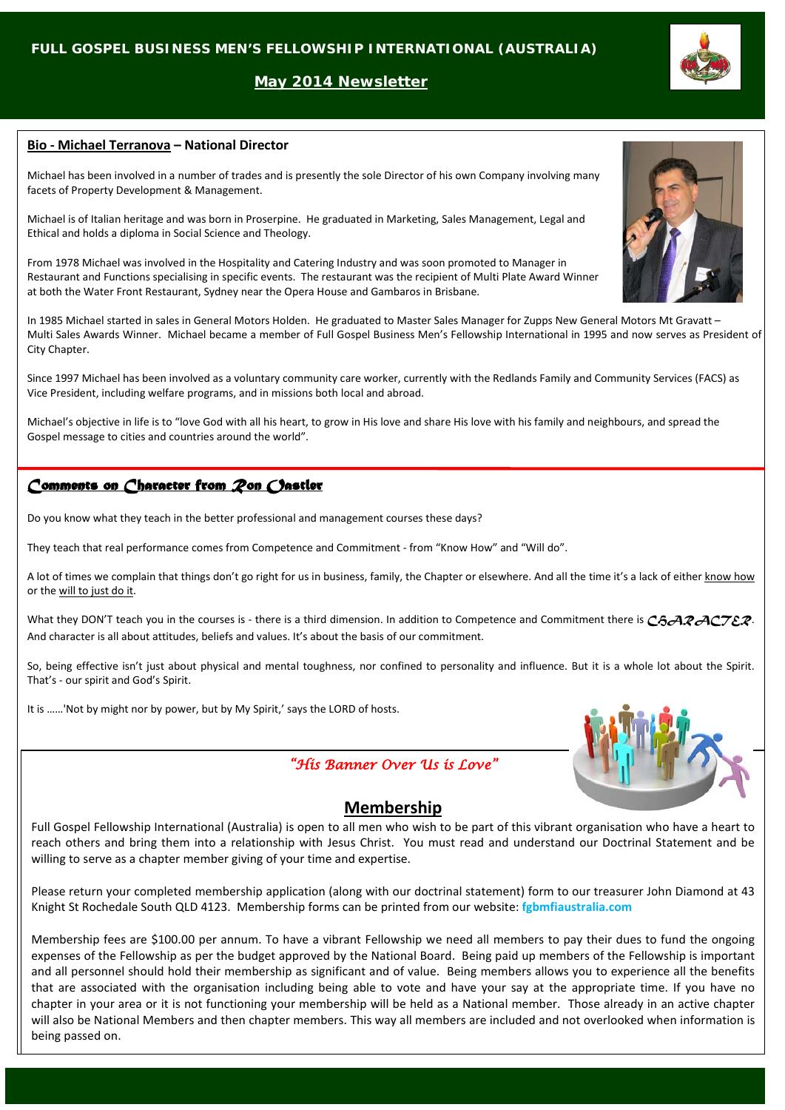# **May 2014 Newsletter**

# **Bio - Michael Terranova – National Director**

Michael has been involved in a number of trades and is presently the sole Director of his own Company involving many facets of Property Development & Management.

Michael is of Italian heritage and was born in Proserpine. He graduated in Marketing, Sales Management, Legal and Ethical and holds a diploma in Social Science and Theology.

From 1978 Michael was involved in the Hospitality and Catering Industry and was soon promoted to Manager in Restaurant and Functions specialising in specific events. The restaurant was the recipient of Multi Plate Award Winner at both the Water Front Restaurant, Sydney near the Opera House and Gambaros in Brisbane.

In 1985 Michael started in sales in General Motors Holden. He graduated to Master Sales Manager for Zupps New General Motors Mt Gravatt – Multi Sales Awards Winner. Michael became a member of Full Gospel Business Men's Fellowship International in 1995 and now serves as President of City Chapter.

Since 1997 Michael has been involved as a voluntary community care worker, currently with the Redlands Family and Community Services (FACS) as Vice President, including welfare programs, and in missions both local and abroad.

Michael's objective in life is to "love God with all his heart, to grow in His love and share His love with his family and neighbours, and spread the Gospel message to cities and countries around the world".

# *Comments on Character from Ron Oastler*

Do you know what they teach in the better professional and management courses these days?

They teach that real performance comes from Competence and Commitment - from "Know How" and "Will do".

A lot of times we complain that things don't go right for us in business, family, the Chapter or elsewhere. And all the time it's a lack of either know how or the will to just do it.

What they DON'T teach you in the courses is - there is a third dimension. In addition to Competence and Commitment there is *CAARACTER*. And character is all about attitudes, beliefs and values. It's about the basis of our commitment.

So, being effective isn't just about physical and mental toughness, nor confined to personality and influence. But it is a whole lot about the Spirit. That's - our spirit and God's Spirit.

It is ……'Not by might nor by power, but by My Spirit,' says the LORD of hosts.

# *"His Banner Over Us is Love"*



# **Membership**

Full Gospel Fellowship International (Australia) is open to all men who wish to be part of this vibrant organisation who have a heart to reach others and bring them into a relationship with Jesus Christ. You must read and understand our Doctrinal Statement and be willing to serve as a chapter member giving of your time and expertise.

Please return your completed membership application (along with our doctrinal statement) form to our treasurer John Diamond at 43 Knight St Rochedale South QLD 4123. Membership forms can be printed from our website: **fgbmfiaustralia.com**

Membership fees are \$100.00 per annum. To have a vibrant Fellowship we need all members to pay their dues to fund the ongoing expenses of the Fellowship as per the budget approved by the National Board. Being paid up members of the Fellowship is important and all personnel should hold their membership as significant and of value. Being members allows you to experience all the benefits that are associated with the organisation including being able to vote and have your say at the appropriate time. If you have no chapter in your area or it is not functioning your membership will be held as a National member. Those already in an active chapter will also be National Members and then chapter members. This way all members are included and not overlooked when information is being passed on.